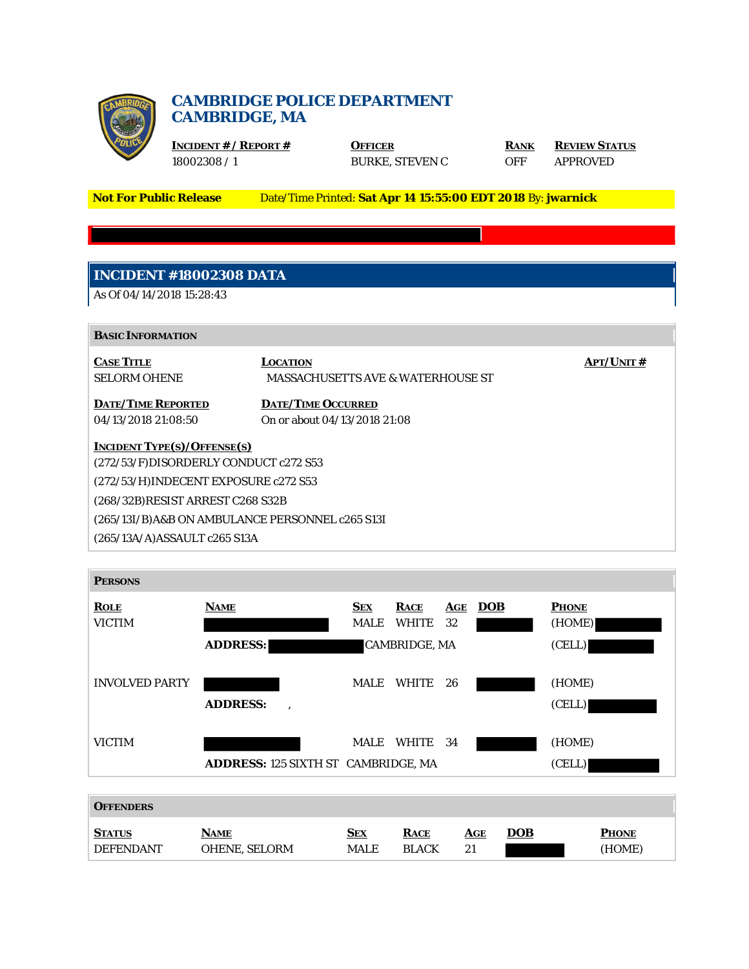

## **CAMBRIDGE POLICE DEPARTMENT CAMBRIDGE, MA**

**INCIDENT # / REPORT # OFFICER RANK REVIEW STATUS** 18002308 / 1 BURKE, STEVEN C OFF APPROVED

**Not For Public Release** Date/Time Printed: **Sat Apr 14 15:55:00 EDT 2018** By: **jwarnick**

# **INCIDENT #18002308 DATA**

As Of 04/14/2018 15:28:43

| <b>BASIC INFORMATION</b> |
|--------------------------|
|--------------------------|

**CASE TITLE LOCATION APT/UNIT #** SELORM OHENE MASSACHUSETTS AVE & WATERHOUSE ST **DATE/TIME REPORTED DATE/TIME OCCURRED** 04/13/2018 21:08:50 On or about 04/13/2018 21:08 **INCIDENT TYPE(S)/OFFENSE(S)** (272/53/F)DISORDERLY CONDUCT c272 S53 (272/53/H)INDECENT EXPOSURE c272 S53 (268/32B)RESIST ARREST C268 S32B (265/13I/B)A&B ON AMBULANCE PERSONNEL c265 S13I (265/13A/A)ASSAULT c265 S13A



| <b>OFFENDERS</b> |                      |             |              |            |            |              |
|------------------|----------------------|-------------|--------------|------------|------------|--------------|
| <b>STATUS</b>    | <b>NAME</b>          | <b>SEX</b>  | <b>RACE</b>  | <b>AGE</b> | <u>DOB</u> | <b>PHONE</b> |
| <b>DEFENDANT</b> | <b>OHENE, SELORM</b> | <b>MALE</b> | <b>BLACK</b> | 21         |            | (HOME)       |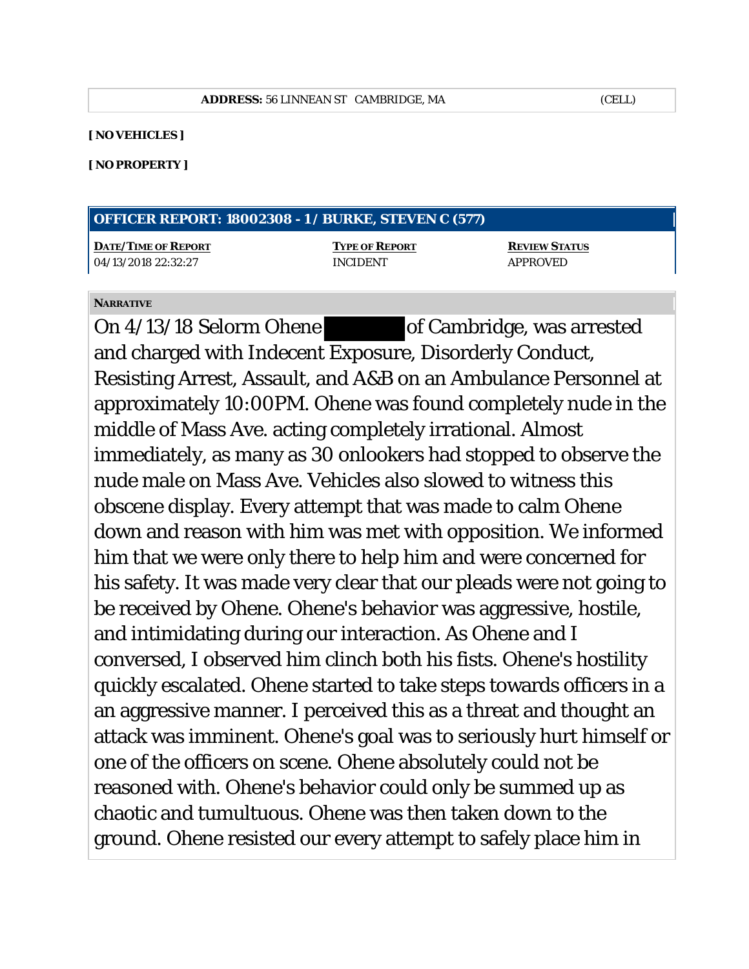#### **[ NO VEHICLES ]**

#### **[ NO PROPERTY ]**

| <b>OFFICER REPORT: 18002308 - 1 / BURKE, STEVEN C (577)</b> |  |  |
|-------------------------------------------------------------|--|--|
|-------------------------------------------------------------|--|--|

**DATE/TIME OF REPORT TYPE OF REPORT REVIEW STATUS** 04/13/2018 22:32:27 INCIDENT APPROVED

### **NARRATIVE**

On 4/13/18 Selorm Ohene of Cambridge, was arrested and charged with Indecent Exposure, Disorderly Conduct, Resisting Arrest, Assault, and A&B on an Ambulance Personnel at approximately 10:00PM. Ohene was found completely nude in the middle of Mass Ave. acting completely irrational. Almost immediately, as many as 30 onlookers had stopped to observe the nude male on Mass Ave. Vehicles also slowed to witness this obscene display. Every attempt that was made to calm Ohene down and reason with him was met with opposition. We informed him that we were only there to help him and were concerned for his safety. It was made very clear that our pleads were not going to be received by Ohene. Ohene's behavior was aggressive, hostile, and intimidating during our interaction. As Ohene and I conversed, I observed him clinch both his fists. Ohene's hostility quickly escalated. Ohene started to take steps towards officers in a an aggressive manner. I perceived this as a threat and thought an attack was imminent. Ohene's goal was to seriously hurt himself or one of the officers on scene. Ohene absolutely could not be reasoned with. Ohene's behavior could only be summed up as chaotic and tumultuous. Ohene was then taken down to the ground. Ohene resisted our every attempt to safely place him in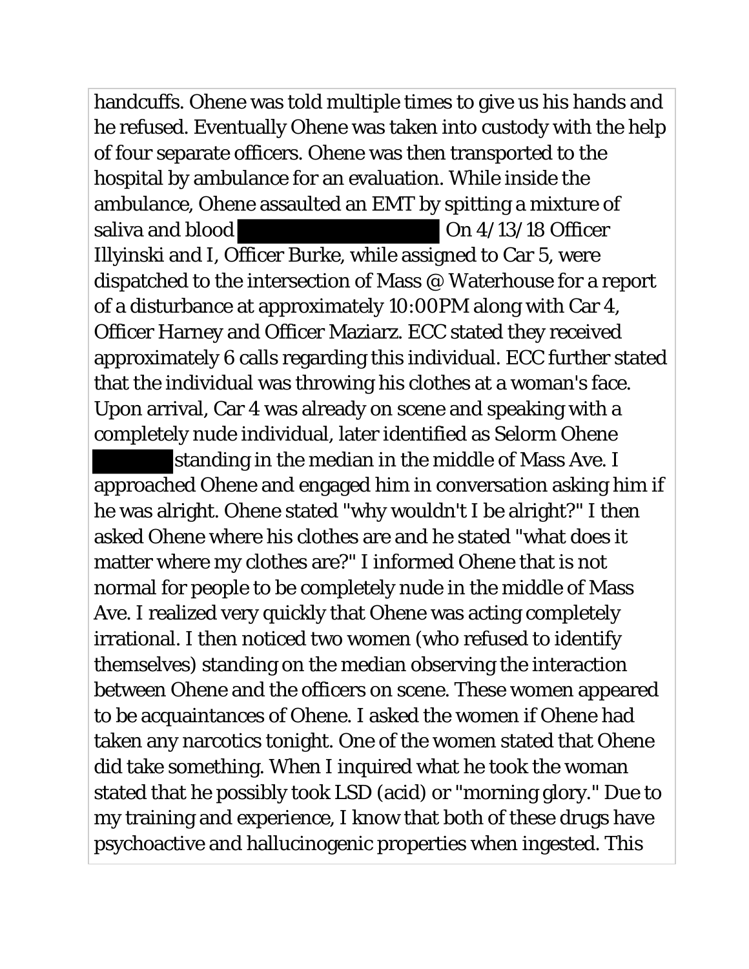handcuffs. Ohene was told multiple times to give us his hands and he refused. Eventually Ohene was taken into custody with the help of four separate officers. Ohene was then transported to the hospital by ambulance for an evaluation. While inside the ambulance, Ohene assaulted an EMT by spitting a mixture of saliva and blood On 4/13/18 Officer Illyinski and I, Officer Burke, while assigned to Car 5, were dispatched to the intersection of Mass @ Waterhouse for a report of a disturbance at approximately 10:00PM along with Car 4, Officer Harney and Officer Maziarz. ECC stated they received approximately 6 calls regarding this individual. ECC further stated that the individual was throwing his clothes at a woman's face. Upon arrival, Car 4 was already on scene and speaking with a completely nude individual, later identified as Selorm Ohene

standing in the median in the middle of Mass Ave. I approached Ohene and engaged him in conversation asking him if he was alright. Ohene stated "why wouldn't I be alright?" I then asked Ohene where his clothes are and he stated "what does it matter where my clothes are?" I informed Ohene that is not normal for people to be completely nude in the middle of Mass Ave. I realized very quickly that Ohene was acting completely irrational. I then noticed two women (who refused to identify themselves) standing on the median observing the interaction between Ohene and the officers on scene. These women appeared to be acquaintances of Ohene. I asked the women if Ohene had taken any narcotics tonight. One of the women stated that Ohene did take something. When I inquired what he took the woman stated that he possibly took LSD (acid) or "morning glory." Due to my training and experience, I know that both of these drugs have psychoactive and hallucinogenic properties when ingested. This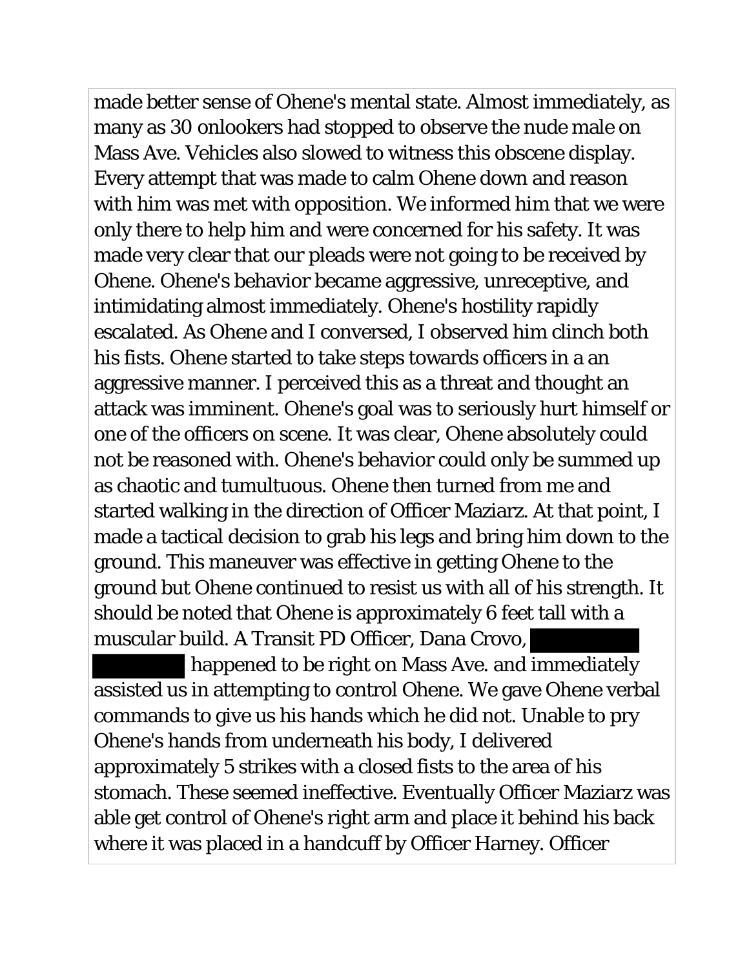made better sense of Ohene's mental state. Almost immediately, as many as 30 onlookers had stopped to observe the nude male on Mass Ave. Vehicles also slowed to witness this obscene display. Every attempt that was made to calm Ohene down and reason with him was met with opposition. We informed him that we were only there to help him and were concerned for his safety. It was made very clear that our pleads were not going to be received by Ohene. Ohene's behavior became aggressive, unreceptive, and intimidating almost immediately. Ohene's hostility rapidly escalated. As Ohene and I conversed, I observed him clinch both his fists. Ohene started to take steps towards officers in a an aggressive manner. I perceived this as a threat and thought an attack was imminent. Ohene's goal was to seriously hurt himself or one of the officers on scene. It was clear, Ohene absolutely could not be reasoned with. Ohene's behavior could only be summed up as chaotic and tumultuous. Ohene then turned from me and started walking in the direction of Officer Maziarz. At that point, I made a tactical decision to grab his legs and bring him down to the ground. This maneuver was effective in getting Ohene to the ground but Ohene continued to resist us with all of his strength. It should be noted that Ohene is approximately 6 feet tall with a muscular build. A Transit PD Officer, Dana Crovo,

 happened to be right on Mass Ave. and immediately assisted us in attempting to control Ohene. We gave Ohene verbal commands to give us his hands which he did not. Unable to pry Ohene's hands from underneath his body, I delivered approximately 5 strikes with a closed fists to the area of his stomach. These seemed ineffective. Eventually Officer Maziarz was able get control of Ohene's right arm and place it behind his back where it was placed in a handcuff by Officer Harney. Officer